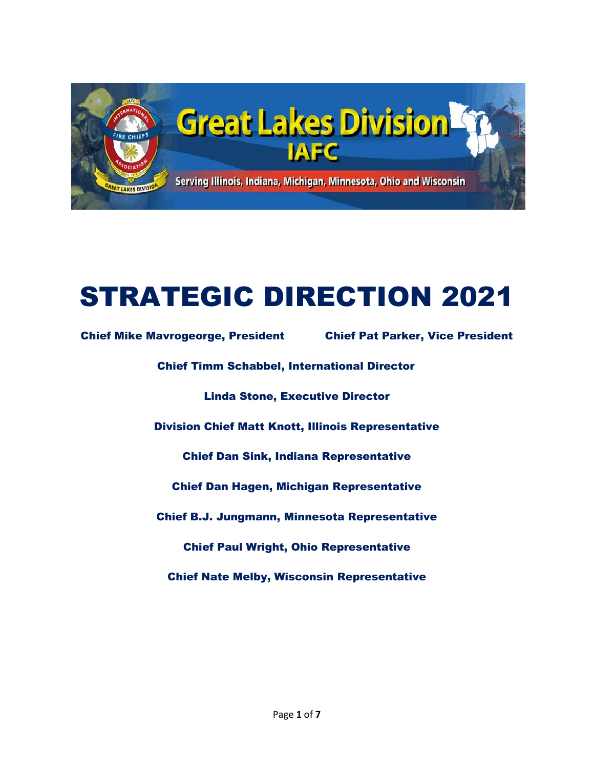

# STRATEGIC DIRECTION 2021

Chief Mike Mavrogeorge, President Chief Pat Parker, Vice President Chief Timm Schabbel, International Director Linda Stone, Executive Director Division Chief Matt Knott, Illinois Representative Chief Dan Sink, Indiana Representative Chief Dan Hagen, Michigan Representative Chief B.J. Jungmann, Minnesota Representative Chief Paul Wright, Ohio Representative Chief Nate Melby, Wisconsin Representative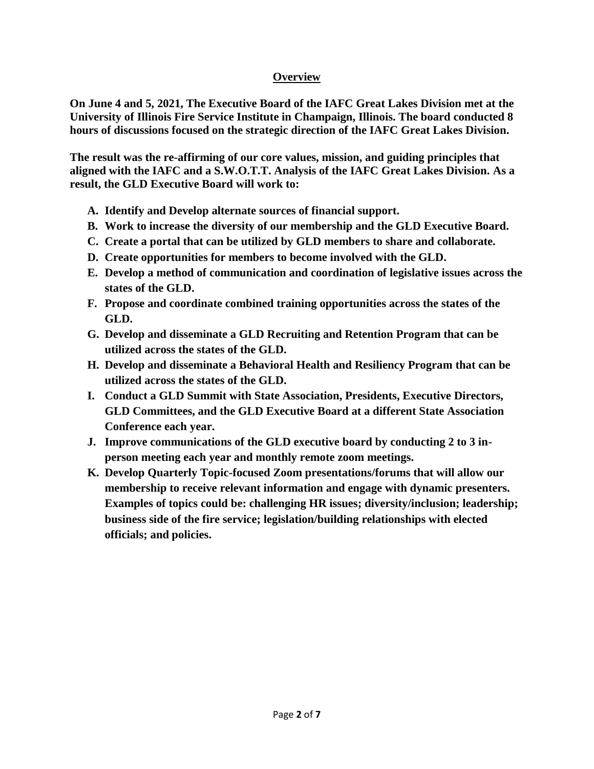# **Overview**

**On June 4 and 5, 2021, The Executive Board of the IAFC Great Lakes Division met at the University of Illinois Fire Service Institute in Champaign, Illinois. The board conducted 8 hours of discussions focused on the strategic direction of the IAFC Great Lakes Division.** 

**The result was the re-affirming of our core values, mission, and guiding principles that aligned with the IAFC and a S.W.O.T.T. Analysis of the IAFC Great Lakes Division. As a result, the GLD Executive Board will work to:** 

- **A. Identify and Develop alternate sources of financial support.**
- **B. Work to increase the diversity of our membership and the GLD Executive Board.**
- **C. Create a portal that can be utilized by GLD members to share and collaborate.**
- **D. Create opportunities for members to become involved with the GLD.**
- **E. Develop a method of communication and coordination of legislative issues across the states of the GLD.**
- **F. Propose and coordinate combined training opportunities across the states of the GLD.**
- **G. Develop and disseminate a GLD Recruiting and Retention Program that can be utilized across the states of the GLD.**
- **H. Develop and disseminate a Behavioral Health and Resiliency Program that can be utilized across the states of the GLD.**
- **I. Conduct a GLD Summit with State Association, Presidents, Executive Directors, GLD Committees, and the GLD Executive Board at a different State Association Conference each year.**
- **J. Improve communications of the GLD executive board by conducting 2 to 3 inperson meeting each year and monthly remote zoom meetings.**
- **K. Develop Quarterly Topic-focused Zoom presentations/forums that will allow our membership to receive relevant information and engage with dynamic presenters. Examples of topics could be: challenging HR issues; diversity/inclusion; leadership; business side of the fire service; legislation/building relationships with elected officials; and policies.**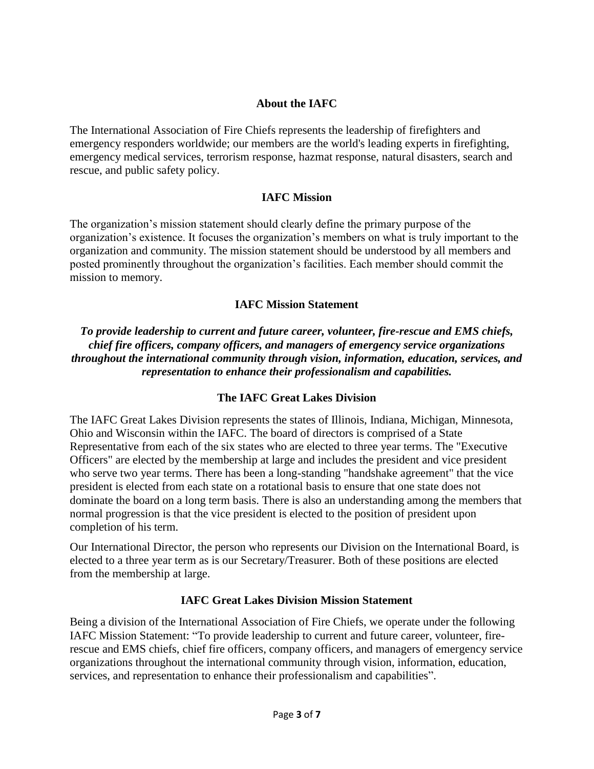# **About the IAFC**

The International Association of Fire Chiefs represents the leadership of firefighters and emergency responders worldwide; our members are the world's leading experts in firefighting, emergency medical services, terrorism response, hazmat response, natural disasters, search and rescue, and public safety policy.

#### **IAFC Mission**

The organization's mission statement should clearly define the primary purpose of the organization's existence. It focuses the organization's members on what is truly important to the organization and community. The mission statement should be understood by all members and posted prominently throughout the organization's facilities. Each member should commit the mission to memory.

#### **IAFC Mission Statement**

*To provide leadership to current and future career, volunteer, fire-rescue and EMS chiefs, chief fire officers, company officers, and managers of emergency service organizations throughout the international community through vision, information, education, services, and representation to enhance their professionalism and capabilities.*

#### **The IAFC Great Lakes Division**

The IAFC Great Lakes Division represents the states of Illinois, Indiana, Michigan, Minnesota, Ohio and Wisconsin within the IAFC. The board of directors is comprised of a State Representative from each of the six states who are elected to three year terms. The "Executive Officers" are elected by the membership at large and includes the president and vice president who serve two year terms. There has been a long-standing "handshake agreement" that the vice president is elected from each state on a rotational basis to ensure that one state does not dominate the board on a long term basis. There is also an understanding among the members that normal progression is that the vice president is elected to the position of president upon completion of his term.

Our International Director, the person who represents our Division on the International Board, is elected to a three year term as is our Secretary/Treasurer. Both of these positions are elected from the membership at large.

#### **IAFC Great Lakes Division Mission Statement**

Being a division of the International Association of Fire Chiefs, we operate under the following IAFC Mission Statement: "To provide leadership to current and future career, volunteer, firerescue and EMS chiefs, chief fire officers, company officers, and managers of emergency service organizations throughout the international community through vision, information, education, services, and representation to enhance their professionalism and capabilities".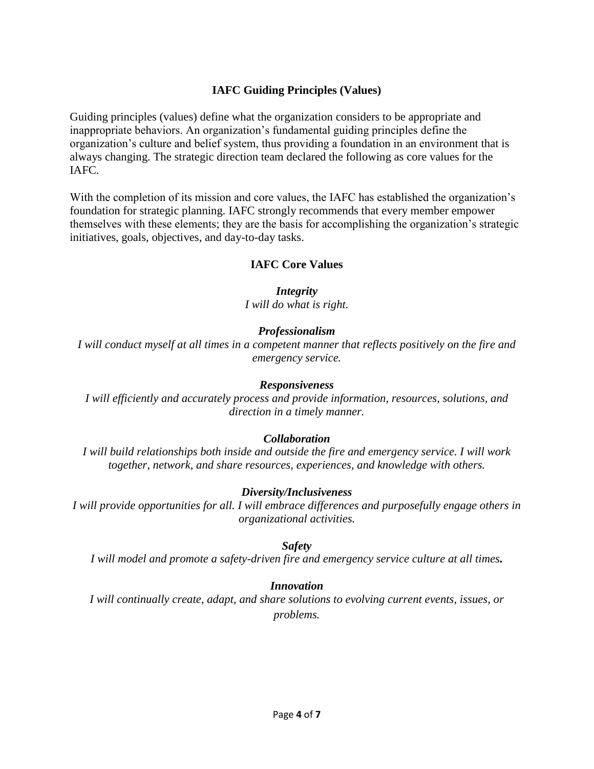# **IAFC Guiding Principles (Values)**

Guiding principles (values) define what the organization considers to be appropriate and inappropriate behaviors. An organization's fundamental guiding principles define the organization's culture and belief system, thus providing a foundation in an environment that is always changing. The strategic direction team declared the following as core values for the IAFC.

With the completion of its mission and core values, the IAFC has established the organization's foundation for strategic planning. IAFC strongly recommends that every member empower themselves with these elements; they are the basis for accomplishing the organization's strategic initiatives, goals, objectives, and day-to-day tasks.

#### **IAFC Core Values**

*Integrity I will do what is right.*

# *Professionalism*

*I will conduct myself at all times in a competent manner that reflects positively on the fire and emergency service.*

#### *Responsiveness*

*I will efficiently and accurately process and provide information, resources, solutions, and direction in a timely manner.*

#### *Collaboration*

*I will build relationships both inside and outside the fire and emergency service. I will work together, network, and share resources, experiences, and knowledge with others.*

#### *Diversity/Inclusiveness*

*I will provide opportunities for all. I will embrace differences and purposefully engage others in organizational activities.*

#### *Safety*

*I will model and promote a safety-driven fire and emergency service culture at all times.*

#### *Innovation*

*I will continually create, adapt, and share solutions to evolving current events, issues, or problems.*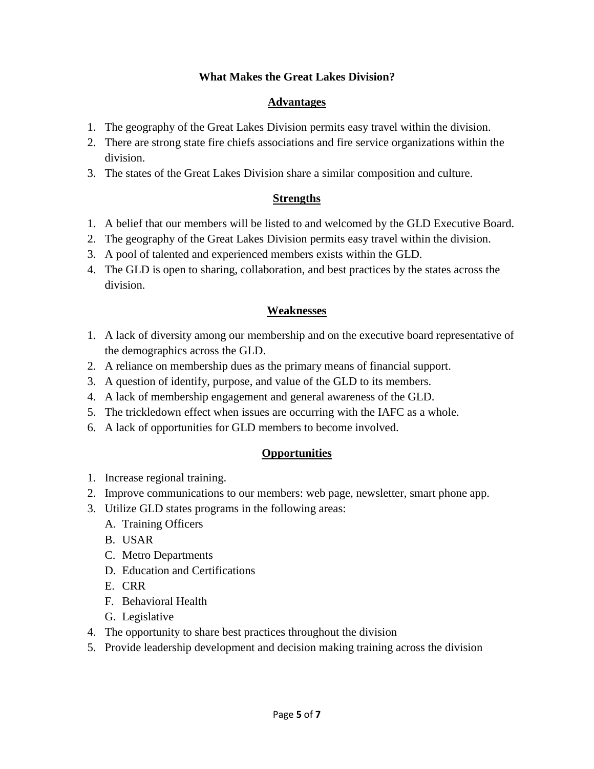# **What Makes the Great Lakes Division?**

# **Advantages**

- 1. The geography of the Great Lakes Division permits easy travel within the division.
- 2. There are strong state fire chiefs associations and fire service organizations within the division.
- 3. The states of the Great Lakes Division share a similar composition and culture.

# **Strengths**

- 1. A belief that our members will be listed to and welcomed by the GLD Executive Board.
- 2. The geography of the Great Lakes Division permits easy travel within the division.
- 3. A pool of talented and experienced members exists within the GLD.
- 4. The GLD is open to sharing, collaboration, and best practices by the states across the division.

# **Weaknesses**

- 1. A lack of diversity among our membership and on the executive board representative of the demographics across the GLD.
- 2. A reliance on membership dues as the primary means of financial support.
- 3. A question of identify, purpose, and value of the GLD to its members.
- 4. A lack of membership engagement and general awareness of the GLD.
- 5. The trickledown effect when issues are occurring with the IAFC as a whole.
- 6. A lack of opportunities for GLD members to become involved.

# **Opportunities**

- 1. Increase regional training.
- 2. Improve communications to our members: web page, newsletter, smart phone app.
- 3. Utilize GLD states programs in the following areas:
	- A. Training Officers
	- B. USAR
	- C. Metro Departments
	- D. Education and Certifications
	- E. CRR
	- F. Behavioral Health
	- G. Legislative
- 4. The opportunity to share best practices throughout the division
- 5. Provide leadership development and decision making training across the division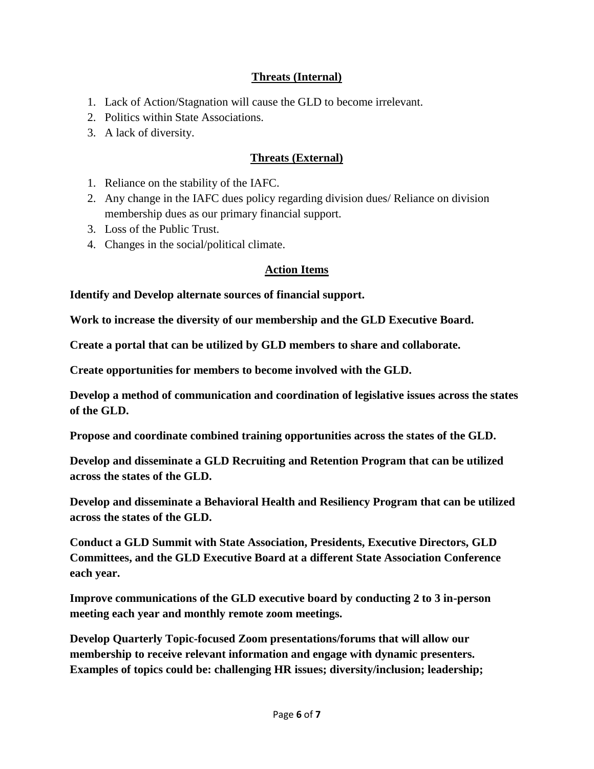# **Threats (Internal)**

- 1. Lack of Action/Stagnation will cause the GLD to become irrelevant.
- 2. Politics within State Associations.
- 3. A lack of diversity.

# **Threats (External)**

- 1. Reliance on the stability of the IAFC.
- 2. Any change in the IAFC dues policy regarding division dues/ Reliance on division membership dues as our primary financial support.
- 3. Loss of the Public Trust.
- 4. Changes in the social/political climate.

# **Action Items**

**Identify and Develop alternate sources of financial support.**

**Work to increase the diversity of our membership and the GLD Executive Board.**

**Create a portal that can be utilized by GLD members to share and collaborate.**

**Create opportunities for members to become involved with the GLD.**

**Develop a method of communication and coordination of legislative issues across the states of the GLD.**

**Propose and coordinate combined training opportunities across the states of the GLD.**

**Develop and disseminate a GLD Recruiting and Retention Program that can be utilized across the states of the GLD.**

**Develop and disseminate a Behavioral Health and Resiliency Program that can be utilized across the states of the GLD.**

**Conduct a GLD Summit with State Association, Presidents, Executive Directors, GLD Committees, and the GLD Executive Board at a different State Association Conference each year.**

**Improve communications of the GLD executive board by conducting 2 to 3 in-person meeting each year and monthly remote zoom meetings.** 

**Develop Quarterly Topic-focused Zoom presentations/forums that will allow our membership to receive relevant information and engage with dynamic presenters. Examples of topics could be: challenging HR issues; diversity/inclusion; leadership;**